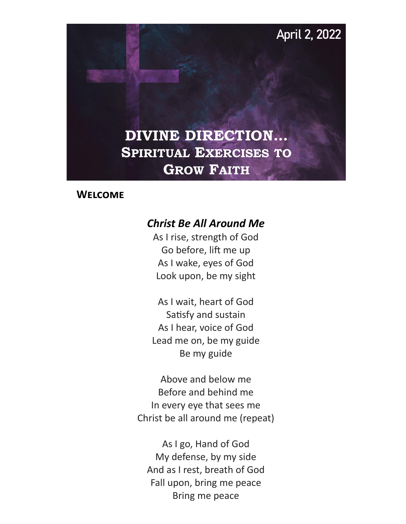**April 2, 2022**

## **DIVINE DIRECTION… SPIRITUAL EXERCISES TO GROW FAITH**

#### **Welcome**

#### *Christ Be All Around Me*

As I rise, strength of God Go before, lift me up As I wake, eyes of God Look upon, be my sight

As I wait, heart of God Satisfy and sustain As I hear, voice of God Lead me on, be my guide Be my guide

Above and below me Before and behind me In every eye that sees me Christ be all around me (repeat)

As I go, Hand of God My defense, by my side And as I rest, breath of God Fall upon, bring me peace Bring me peace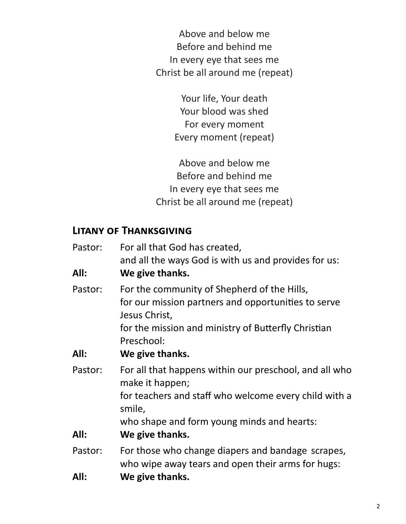Above and below me Before and behind me In every eye that sees me Christ be all around me (repeat)

> Your life, Your death Your blood was shed For every moment Every moment (repeat)

Above and below me Before and behind me In every eye that sees me Christ be all around me (repeat)

#### **Litany of Thanksgiving**

| Pastor: | For all that God has created,                                                                                       |  |  |
|---------|---------------------------------------------------------------------------------------------------------------------|--|--|
|         | and all the ways God is with us and provides for us:                                                                |  |  |
| All:    | We give thanks.                                                                                                     |  |  |
| Pastor: | For the community of Shepherd of the Hills,<br>for our mission partners and opportunities to serve<br>Jesus Christ, |  |  |
|         | for the mission and ministry of Butterfly Christian<br>Preschool:                                                   |  |  |
| All:    | We give thanks.                                                                                                     |  |  |
| Pastor: | For all that happens within our preschool, and all who<br>make it happen;                                           |  |  |
|         | for teachers and staff who welcome every child with a<br>smile,                                                     |  |  |
|         | who shape and form young minds and hearts:                                                                          |  |  |
| All:    | We give thanks.                                                                                                     |  |  |
| Pastor: | For those who change diapers and bandage scrapes,<br>who wipe away tears and open their arms for hugs:              |  |  |

**All: We give thanks.**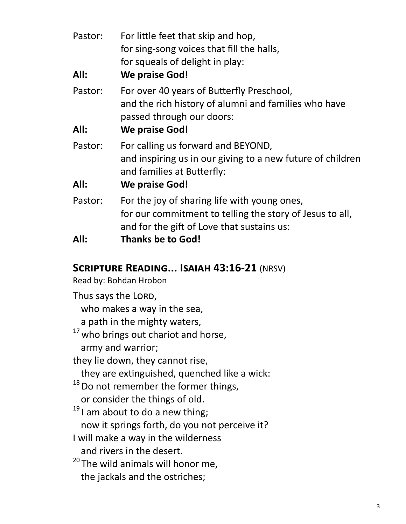| Pastor: | For little feet that skip and hop,<br>for sing-song voices that fill the halls,<br>for squeals of delight in play:                                     |  |  |
|---------|--------------------------------------------------------------------------------------------------------------------------------------------------------|--|--|
| All:    | <b>We praise God!</b>                                                                                                                                  |  |  |
| Pastor: | For over 40 years of Butterfly Preschool,<br>and the rich history of alumni and families who have<br>passed through our doors:                         |  |  |
| All:    | <b>We praise God!</b>                                                                                                                                  |  |  |
| Pastor: | For calling us forward and BEYOND,<br>and inspiring us in our giving to a new future of children<br>and families at Butterfly:                         |  |  |
| All:    | We praise God!                                                                                                                                         |  |  |
| Pastor: | For the joy of sharing life with young ones,<br>for our commitment to telling the story of Jesus to all,<br>and for the gift of Love that sustains us: |  |  |
| All:    | <b>Thanks be to God!</b>                                                                                                                               |  |  |

#### **Scripture Reading... Isaiah 43:16-21** (NRSV)

Read by: Bohdan Hrobon

Thus says the LORD, who makes a way in the sea, a path in the mighty waters,  $17$  who brings out chariot and horse, army and warrior; they lie down, they cannot rise, they are extinguished, quenched like a wick: <sup>18</sup> Do not remember the former things, or consider the things of old.  $19$  I am about to do a new thing; now it springs forth, do you not perceive it? I will make a way in the wilderness and rivers in the desert. <sup>20</sup> The wild animals will honor me, the jackals and the ostriches;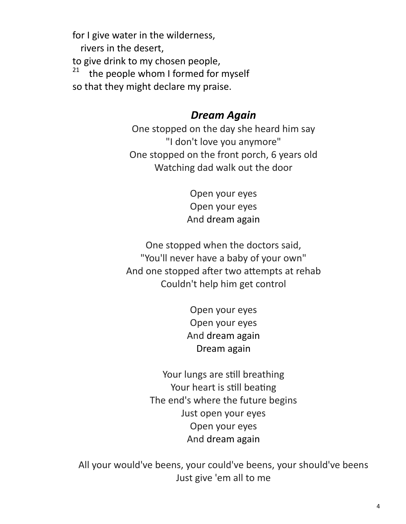for I give water in the wilderness,

rivers in the desert,

to give drink to my chosen people,

21 the people whom I formed for myself

so that they might declare my praise.

## *Dream Again*

One stopped on the day she heard him say "I don't love you anymore" One stopped on the front porch, 6 years old Watching dad walk out the door

> Open your eyes Open your eyes And dream again

One stopped when the doctors said, "You'll never have a baby of your own" And one stopped after two attempts at rehab Couldn't help him get control

> Open your eyes Open your eyes And dream again Dream again

Your lungs are still breathing Your heart is still beating The end's where the future begins Just open your eyes Open your eyes And dream again

All your would've beens, your could've beens, your should've beens Just give 'em all to me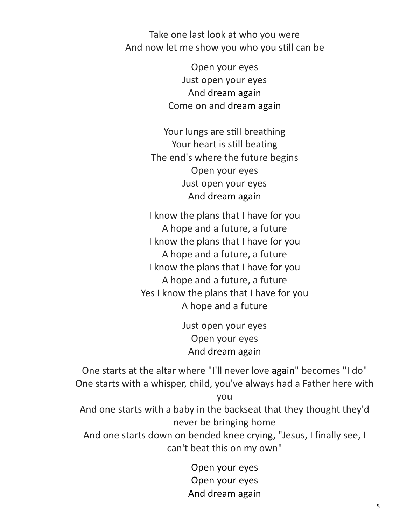Take one last look at who you were And now let me show you who you still can be

> Open your eyes Just open your eyes And dream again Come on and dream again

Your lungs are still breathing Your heart is still beating The end's where the future begins Open your eyes Just open your eyes And dream again

I know the plans that I have for you A hope and a future, a future I know the plans that I have for you A hope and a future, a future I know the plans that I have for you A hope and a future, a future Yes I know the plans that I have for you A hope and a future

> Just open your eyes Open your eyes And dream again

One starts at the altar where "I'll never love again" becomes "I do" One starts with a whisper, child, you've always had a Father here with you

And one starts with a baby in the backseat that they thought they'd never be bringing home

And one starts down on bended knee crying, "Jesus, I finally see, I can't beat this on my own"

> Open your eyes Open your eyes And dream again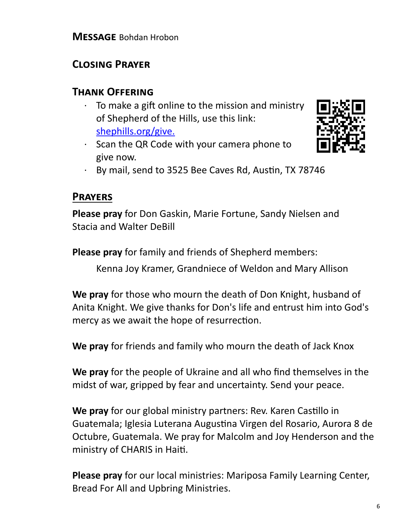## **Closing Prayer**

### **Thank Offering**

- To make a gift online to the mission and ministry of Shepherd of the Hills, use this link: [shephills.org/give.](https://shephills.org/give/)
- · Scan the QR Code with your camera phone to give now.



· By mail, send to 3525 Bee Caves Rd, Austin, TX 78746

## **Prayers**

**Please pray** for Don Gaskin, Marie Fortune, Sandy Nielsen and Stacia and Walter DeBill

**Please pray** for family and friends of Shepherd members:

Kenna Joy Kramer, Grandniece of Weldon and Mary Allison

**We pray** for those who mourn the death of Don Knight, husband of Anita Knight. We give thanks for Don's life and entrust him into God's mercy as we await the hope of resurrection.

**We pray** for friends and family who mourn the death of Jack Knox

**We pray** for the people of Ukraine and all who find themselves in the midst of war, gripped by fear and uncertainty. Send your peace.

**We pray** for our global ministry partners: Rev. Karen Castillo in Guatemala; Iglesia Luterana Augustina Virgen del Rosario, Aurora 8 de Octubre, Guatemala. We pray for Malcolm and Joy Henderson and the ministry of CHARIS in Haiti.

**Please pray** for our local ministries: Mariposa Family Learning Center, Bread For All and Upbring Ministries.